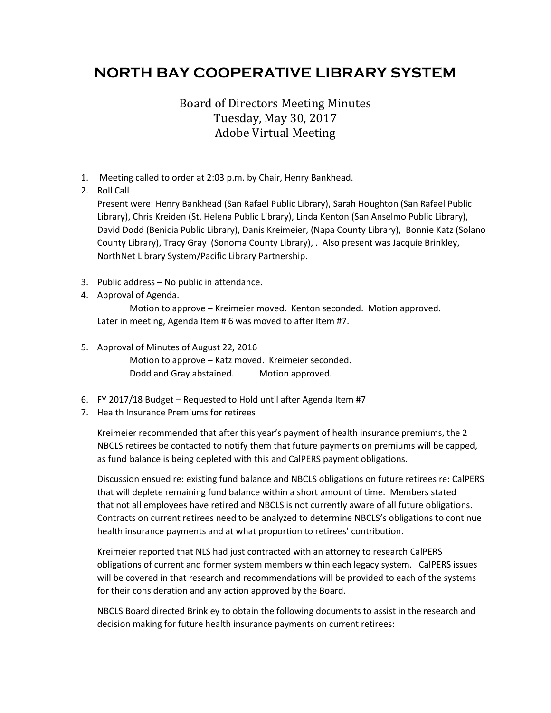## **NORTH BAY COOPERATIVE LIBRARY SYSTEM**

## Board of Directors Meeting Minutes Tuesday, May 30, 2017 Adobe Virtual Meeting

- 1. Meeting called to order at 2:03 p.m. by Chair, Henry Bankhead.
- 2. Roll Call

Present were: Henry Bankhead (San Rafael Public Library), Sarah Houghton (San Rafael Public Library), Chris Kreiden (St. Helena Public Library), Linda Kenton (San Anselmo Public Library), David Dodd (Benicia Public Library), Danis Kreimeier, (Napa County Library), Bonnie Katz (Solano County Library), Tracy Gray (Sonoma County Library), . Also present was Jacquie Brinkley, NorthNet Library System/Pacific Library Partnership.

- 3. Public address No public in attendance.
- 4. Approval of Agenda.

Motion to approve – Kreimeier moved. Kenton seconded. Motion approved. Later in meeting, Agenda Item # 6 was moved to after Item #7.

5. Approval of Minutes of August 22, 2016

Motion to approve – Katz moved. Kreimeier seconded. Dodd and Gray abstained. Motion approved.

- 6. FY 2017/18 Budget Requested to Hold until after Agenda Item #7
- 7. Health Insurance Premiums for retirees

Kreimeier recommended that after this year's payment of health insurance premiums, the 2 NBCLS retirees be contacted to notify them that future payments on premiums will be capped, as fund balance is being depleted with this and CalPERS payment obligations.

Discussion ensued re: existing fund balance and NBCLS obligations on future retirees re: CalPERS that will deplete remaining fund balance within a short amount of time. Members stated that not all employees have retired and NBCLS is not currently aware of all future obligations. Contracts on current retirees need to be analyzed to determine NBCLS's obligations to continue health insurance payments and at what proportion to retirees' contribution.

Kreimeier reported that NLS had just contracted with an attorney to research CalPERS obligations of current and former system members within each legacy system. CalPERS issues will be covered in that research and recommendations will be provided to each of the systems for their consideration and any action approved by the Board.

NBCLS Board directed Brinkley to obtain the following documents to assist in the research and decision making for future health insurance payments on current retirees: